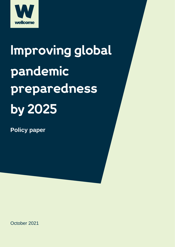

# Improving global pandemic preparedness by 2025

**Policy paper**

October 2021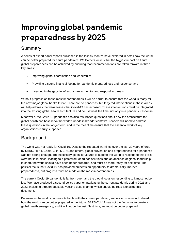### Improving global pandemic preparedness by 2025

#### Summary

A series of expert panel reports published in the last six months have explored in detail how the world can be better prepared for future pandemics. Wellcome's view is that the biggest impact on future global preparedness can be achieved by ensuring that recommendations are taken forward in three key areas:

- [Improving global coordination and leadership;](#page-2-0)
- [Providing a sound financial footing for pandemic preparedness and response;](#page-4-0) and
- Investing in the gaps in [infrastructure to monitor and respond to threats.](#page-6-0)

Without progress on these most important areas it will be harder to ensure that the world is ready for the next major global health threat. There are no panaceas, but targeted interventions in these areas will help address the weaknesses that Covid-19 has exposed. These interventions must be integrated into the existing global health architecture and be useful all the time, not only in a pandemic response.

Meanwhile, the Covid-19 pandemic has also resurfaced questions about how the architecture for global health can best serve the world's needs in broader contexts. Leaders will need to address these questions in the longer term, and in the meantime ensure that the essential work of key organisations is fully supported.

#### **Background**

The world was not ready for Covid-19. Despite the repeated warnings over the last 20 years offered by SARS, H1N1, Ebola, Zika, MERS and others, global prevention and preparedness for a pandemic was not strong enough. The necessary global structures to support the world to respond to this crisis were not in in place, leading to a patchwork of ad hoc solutions and an absence of global leadership. In short, the world should have been better prepared, and must be more ready for next time. The political focus that Covid-19 has provided presents an opportunity to dramatically improve preparedness, but progress must be made on the most important areas.

The current Covid-19 pandemic is far from over, and the global focus on responding to it must not be lost. We have produced a second policy paper on navigating the current pandemic during 2021 and 2022, including through equitable vaccine dose sharing, which should be read alongside this document.

But even as the world continues its battle with the current pandemic, leaders must now look ahead to how the world can be better prepared in the future. SARS-CoV-2 was not the first virus to create a global health emergency, and it will not be the last. Next time, we must be better prepared.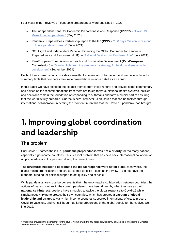Four major expert reviews on pandemic preparedness were published in 2021:

- The Independent Panel for Pandemic Preparedness and Response (**IPPPR**) ["Covid-19:](https://theindependentpanel.org/mainreport/#download-main-report)  [Make it the last pandemic"](https://theindependentpanel.org/mainreport/#download-main-report) (May 2021)
- Pandemic Preparedness Partnership report to the G7 (**PPP**) ["100 days Mission to respond](https://www.gov.uk/government/publications/100-days-mission-to-respond-to-future-pandemic-threats)  [to future pandemic threats"](https://www.gov.uk/government/publications/100-days-mission-to-respond-to-future-pandemic-threats) (June 2021)
- G20 High Level Independent Panel on Financing the Global Commons for Pandemic Preparedness and Response (HLIP)<sup>1</sup> – ["A Global Deal for our Pandemic Age"](https://pandemic-financing.org/report/foreword/) (July 2021)
- Pan-European Commission on Health and Sustainable Development (**Pan-European Commission)** – "Drawing light from the pandemic: a strategy for health and sustainable [development"](https://www.euro.who.int/en/health-topics/health-policy/european-programme-of-work/pan-european-commission-on-health-and-sustainable-development/publications/drawing-light-from-the-pandemic-a-new-strategy-for-health-and-sustainable-development-2021) (September 2021)

Each of these panel reports provides a wealth of analysis and information, and we have included a summary table that compares their recommendations in more detail as an [annex.](#page-10-0)

In this paper we have selected the biggest themes from those reports and provide some commentary and advice as the recommendations from them are taken forward. National health systems, policies and decisions remain the foundation of responding to outbreaks and form a crucial part of ensuring that the world is fully prepared. Our focus here, however, is on issues that can be tackled through international collaboration, reflecting the momentum on this that the Covid-19 pandemic has brought.

### <span id="page-2-0"></span>1. Improving global coordination and leadership

#### The problem

Until Covid-19 forced the issue, **pandemic preparedness was not a priority** for too many nations, especially high-income countries. This is a root problem that has held back international collaboration on preparedness in the past and during the current crisis.

**The structures needed to coordinate the global response were not in place**. Meanwhile, the global health organisations and structures that do exist—such as the WHO— did not have the mandate, funding, or political support to act quickly and at scale.

While pandemics are cross-border events that inherently require collaboration between countries, the actions of many countries in the current pandemic have been driven by what they see as their **national self-interest**. Leaders have struggled to tackle the global response to Covid-19 while simultaneously trying to protect their own countries, which has created **a vacuum of global leadership and strategy**. Many high-income countries supported international efforts to procure Covid-19 vaccines, and yet still bought up large proportions of the global supply for themselves well into 2022.

<sup>1</sup> Wellcome provided the secretariat for the HLIP, working with the US National Academy of Medicine. Wellcome's Director Jeremy Farrar was an Advisor to the Panel.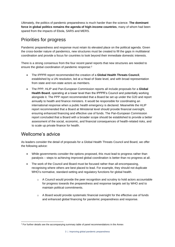Ultimately, the politics of pandemic preparedness is much harder than the science. **The dominant force in global politics remains the agenda of high-income countries**, many of whom had been spared from the impacts of Ebola, SARS and MERS.

#### Priorities for progress

Pandemic preparedness and response must retain its elevated place on the political agenda. Given the cross-border nature of pandemics, new structures must be created to fill the gaps in multilateral coordination and provide a focus for countries to look beyond their immediate domestic interests.

There is a strong consensus from the four recent panel reports that new structures are needed to ensure the global coordination of pandemic response: 2

- The IPPPR report recommended the creation of a **Global Health Threats Council**, established by a UN resolution, led at a Head of State level, and with broad representation from state and non-state actors as members.
- The PPP, HLIP and Pan-European Commission reports all include proposals for a **Global Health Board**, operating at a lower level than the IPPPR's Council and potentially working alongside it. The PPP report recommended that a Board be set up under the G20 and report annually to health and finance ministers. It would be responsible for coordinating an international response when a public health emergency is declared. Meanwhile the HLIP report recommended that a Board at Ministerial level should provide financial oversight, ensuring enhanced financing and effective use of funds. The Pan-European Commission report concluded that a Board with a broader scope should be established to provide a better assessment of the social, economic, and financial consequences of health-related risks, and to scale up private finance for health.

#### Wellcome's advice

As leaders consider the detail of proposals for a Global Health Threats Council and Board, we offer the following advice:

- While governments consider the options proposed, this must lead to progress rather than paralysis – steps to achieving improved global coordination is better than no progress at all.
- The work of the Council and Board must be focused rather than all-encompassing, recognising where others are best placed to lead. For example, they should not duplicate WHO's normative, standard-setting and regulatory functions for global health.
	- $\circ$  A Council would provide the peer recognition and scrutiny to hold actors accountable for progress towards the preparedness and response targets set by WHO and to maintain political commitments.
	- $\circ$  A Board would provide systematic financial oversight for the effective use of funds and enhanced global financing for pandemic preparedness and response.

<sup>&</sup>lt;sup>2</sup> For further details see the accompanying summary table of panel recommendations in th[e Annex](#page-10-0)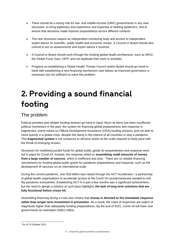- There should be a strong role for low- and middle-income (LMIC) governments in any new structures, to bring legitimacy and experience and expertise of tackling epidemics, and to ensure that decisions made improve preparedness across different contexts.
- The new structures require an independent monitoring body and access to independent expert advice on scientific, public health and economic issues. A Council or Board should also commit to act on assessments and expert advice it receives.
- A Council or Board should work through the existing global health architecture, such as WHO, the Global Fund, Gavi, CEPI, and not duplicate their work or activities.
- Progress on establishing a Global Health Threats Council and/or Board should go hand-inhand with establishing a new financing mechanism (see below) as improved governance is necessary but not sufficient to solve this problem.

### <span id="page-4-0"></span>2. Providing a sound financial footing

#### The problem

Political priorities and reliable funding streams go hand in hand. Much as there has been insufficient political momentum in the past, the system for financing global preparedness and response is fragmented, overly-reliant on Official Development Assistance (ODA) funding streams, and not able to move quickly in a global crisis, despite this being in the interest of all countries to stop a pandemic. This **fragmented system** is not conducive to decisive action at the scale required to keep pace with the threat of emerging viruses.

Structures for mobilising pooled funds for global public goods for preparedness and response were not in place for Covid-19. Instead, the response relied on **assembling small amounts of money from a large number of sources**, which is inefficient and slow. There are no reliable financing mechanisms for funding global public goods for pandemic preparedness and response, such as the development of vaccines on an international scale.

During the current pandemic, over \$18 billion was raised through the ACT-Accelerator,<sup>3</sup> a partnership of global health organisations to accelerate access to the Covid-19 countermeasures needed to end the pandemic everywhere. Establishing ACT-A in just a few months was a significant achievement, but the need to design a solution at such pace highlights **the lack of long term solutions that are fully functional before crises hit.**

Assembling financing during a crisis also means that **money is directed to the immediate response rather than longer term investment in prevention**. As a result, the costs of responses are orders of magnitude higher than adequately funding preparedness. By the end of 2021, Covid-19 will have cost governments an estimated US\$11 trillion.

<sup>3</sup> As of 15 October 2021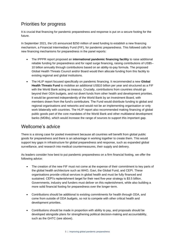#### Priorities for progress

It is crucial that financing for pandemic preparedness and response is put on a secure footing for the future.

In September 2021, the US announced \$250 million of seed funding to establish a new financing mechanism, a Financial Intermediary Fund (FIF), for pandemic preparedness. This followed calls for new financing mechanisms for preparedness in the panel reports:

- The IPPPR report proposed an **international pandemic financing facility** to raise additional reliable funding for preparedness and for rapid surge financing, raising contributions of US\$5– 10 billion annually through contributions based on an ability-to-pay formula. The proposed Global Health Threats Council and/or Board would then allocate funding from this facility to existing regional and global institutions.
- The HLIP report focused specifically on pandemic financing. It recommended a new **Global Health Threats Fund** to mobilise an additional US\$10 billion per year and structured as a FIF with the World Bank acting as treasury. Crucially, contributions from countries should go beyond their ODA budgets, and not divert funds from other health and development priorities. It would be governed independently of the World Bank by an Investment Board, with members drawn from the fund's contributors. The Fund would distribute funding to global and regional organisations and networks and would not be an implementing organisation or only work bilaterally with countries. The HLIP report also recommended making financing of global public goods part of the core mandates of the World Bank and other multilateral development banks (MDBs), which would increase the range of sources to support this important gap.

#### Wellcome's advice

There is a strong case for pooled investment because all countries will benefit from global public goods for preparedness and there is an advantage in working together to create them. This would support key gaps in infrastructure for global preparedness and response, such as expanded global surveillance, and research into medical countermeasures, their supply and delivery.

As leaders consider how best to put pandemic preparedness on a firm financial footing, we offer the following advice:

- The creation of the new FIF must not come at the expense of their commitment to key parts of the global health architecture such as WHO, Gavi, the Global Fund, and CEPI. These organisations provide critical services in global health and must be fully financed and sustained. CEPI's replenishment target for their next five-year strategy is \$3.5 billion. Governments, industry and funders must deliver on this replenishment, while also building a more solid financial footing for preparedness over the longer-term.
- Contributions should be additional to existing commitments for health through ODA, and come from outside of ODA budgets, so not to compete with other critical health and development priorities.
- Contributions should be made in proportion with ability to pay, and proposals should be developed alongside plans for strengthening political decision-making and accountability, such as the GHTC [\(see above\)](#page-2-0).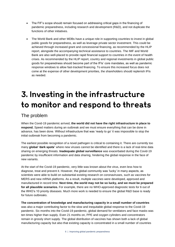- The FIF's scope should remain focused on addressing critical gaps in the financing of pandemic preparedness, including research and development (R&D), and not duplicate the functions of other initiatives.
- The World Bank and other MDBs have a unique role in supporting countries to invest in global public goods for preparedness, as well as leverage private sector investment. This could be achieved through increased grant and concessional financing, as recommended by the HLIP report, alongside the accompanying technical assistance to countries. The IMF and World Bank are also well-placed to provide rapid financial support to countries in the event of health crises. As recommended by the HLIP report, country and regional investments in global public goods for preparedness should become part of the IFIs' core mandates, as well as pandemic response windows to allow fast-tracked financing. To ensure this increased focus does not come at the expense of other development priorities, the shareholders should replenish IFIs as needed.

### <span id="page-6-0"></span>3. Investing in the infrastructure to monitor and respond to threats

#### The problem

When the Covid-19 pandemic arrived, **the world did not have the right infrastructure in place to respond.** Speed matters during an outbreak and we must ensure everything that can be done in advance, has been done. Without infrastructure that was 'ready to go' it was impossible to stop the initial outbreak from becoming a pandemic.

The earliest possible recognition of a novel pathogen is critical to containing it. There are currently too many **global 'dark spots'** where new viruses cannot be identified and there is a lack of real-time data sharing on emerging threats. **Inadequate global surveillance** was exacerbated during the Covid-19 pandemic by insufficient information and data sharing, hindering the global response in the face of new variants.

At the start of the Covid-19 pandemic, very little was known about the virus, even less how to diagnose, treat and prevent it. However, the global community was 'lucky' in many aspects, as scientists were able to build on substantial existing research on coronaviruses, such as vaccines for MERS and new mRNA platforms. As a result, multiple vaccines were developed, approved and manufactured in record time. **Next time, the world may not be so lucky, and we must be prepared for all plausible scenarios.** For example, there are no WHO-approved diagnostic tests for 6 out of the WHO's 10 priority diseases. Much more work is needed to ensure the global R&D base is ready for future outbreaks.

**The concentration of knowledge and manufacturing capacity in a small number of countries** was also a major contributing factor to the slow and inequitable global response to the Covid-19 pandemic. Six months into the Covid-19 pandemic, global demand for ventilators and face masks was ten times higher than supply. Even 21 months on, PPE and oxygen cylinders and concentrators remain in grossly short supply. The global distribution of vaccines has shown both a lack of global manufacturing capacity but also that existing capacity is concentrated in a small number of countries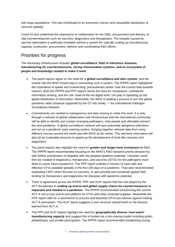with large populations. This has contributed to an extremely uneven and inequitable distribution of vaccines globally.

Covid-19 also underlined the importance of collaboration for the R&D, procurement and delivery of vital countermeasures such as vaccines, diagnostics and therapeutics. The inequity caused by vaccine nationalism is politically inevitable without a system for radically scaling up manufacturing capacity, production, procurement, delivery and coordinating R&D efforts.

#### Priorities for progress

The necessary infrastructure includes **global surveillance, R&D in infectious diseases, manufacturing for countermeasures, strong immunisation systems, and an ecosystem of people and knowledge needed to make it work.** 

- The panel reports agree on the need for a **global surveillance and alert system**, and the central role the WHO should play in overseeing such a system. The IPPPR report highlighted the importance of speed and incentivising 'precautionary action' over the current bias towards inaction. Both the IPPPR and PPP reports stress the need for transparent, unhindered information sharing, and the role 'state-of-the-art digital tools' can play in speeding up the global distribution of information. Meanwhile, the WHO is leading a process to turn the global pandemic radar proposal supported by the G7 into reality — the International Pathogen Surveillance Network.
- Commitments are needed to transparency and data sharing to make this work. It is only through a network of global collaboration and infrastructure that the international community will be able to identify and contain emerging pathogens, treat people and ultimately prevent the next pandemic. A global surveillance network will spot potentially dangerous infections and act as a pandemic early warning system, bringing together relevant data from many different sources around the world and with WHO at the centre. This real-time information will also be an invaluable resource to speed up the development of tools like vaccines and diagnostics.
- The panel reports also highlight the need for **greater and longer-term investment in** R&D. The IPPPR report recommended focusing on the WHO's R&D blueprint priority disease list, with further prioritisation of diseases with the greatest epidemic potential. 'Libraries' could then be created of diagnostics, therapeutics, and vaccines (DTVs) for the pathogens most likely to cause future pandemics. The PPP report outlined a mission to have safe and effective DTVs available globally in the first 100 days of a pandemic. They also recommended expanding CEPI, which focuses on vaccines, to also provide and coordinate global R&D funding for therapeutics and diagnostics for diseases with pandemic potential.
- There is agreement across the IPPPR, PPP and HLIP reports that the role played by the ACT-Accelerator in **scaling up end-to-end global supply chains for countermeasures is important and needed in a pandemic**. The IPPPR recommended transforming the current ACT-A into a truly end-to-end platform for DTVs and other essential supplies. Meanwhile the PPP report calls for a mechanism to procure and distribute DTVs but advises against making ACT-A permanent. The HLIP report suggests a new structure should build on the lessons learned from ACT-A.
- The PPP and HLIP reports highlight the need for **geographically diverse 'ever-warm' manufacturing capacity** and suggest this is funded via a risk-sharing model including public, philanthropic and private participation. The IPPPR report recommended establishing strong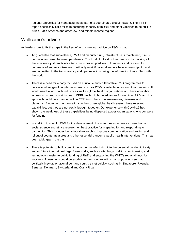regional capacities for manufacturing as part of a coordinated global network. The IPPPR report specifically calls for manufacturing capacity of mRNA and other vaccines to be built in Africa, Latin America and other low- and middle-income regions.

#### Wellcome's advice

As leaders look to fix the gaps in the key infrastructure, our advice on R&D is that:

- To guarantee that surveillance, R&D and manufacturing infrastructure is maintained, it must be useful and used between pandemics. This kind of infrastructure needs to be working all the time – not just reactively after a crisis has erupted – and to monitor and respond to outbreaks of endemic diseases. It will only work if national leaders have ownership of it and are committed to the transparency and openness in sharing the information they collect with the world.
- There is a need for a body focused on equitable and collaborative R&D programmes to deliver a full range of countermeasures, such as DTVs, available to respond to a pandemic. It would need to work with industry as well as global health organisations and have equitable access to its products at its heart. CEPI has led to huge advances for vaccines R&D, and this approach could be expanded within CEPI into other countermeasures, diseases and platforms. A number of organisations in the current global health system have relevant capabilities, but they are not easily brought together. Our experience with Covid-19 has shown the weakness of these capabilities being dispersed across organisations who compete for funding.
- In addition to specific R&D for the development of countermeasures, we also need more social science and ethics research on best practice for preparing for and responding to pandemics. This includes behavioural research to improve communication and testing and rollout of countermeasures and other essential pandemic public health interventions. This has been a big gap in the past.
- There is potential to build commitments on manufacturing into the potential pandemic treaty and/or future international legal frameworks, such as attaching conditions for licensing and technology transfer to public funding of R&D and supporting the WHO's regional hubs for vaccines. These hubs could be established in countries with small populations so that politically inevitable national demand could be met quickly, such as in Singapore, Rwanda, Senegal, Denmark, Switzerland and Costa Rica.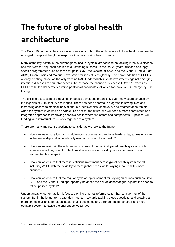## The future of global health architecture

The Covid-19 pandemic has resurfaced questions of how the architecture of global health can best be arranged to support the global response to a broad set of health threats.

Many of the key actors in the current global health 'system' are focused on tackling infectious disease, and this 'vertical' approach has led to outstanding success. In the last 20 years, disease or supplyspecific programmes such as those for polio, Gavi, the vaccine alliance, and the Global Fund to Fight AIDS, Tuberculosis and Malaria, have saved millions of lives globally. The newer addition of CEPI is already creating impact as the only vaccine R&D funder which links its investments against emerging infectious diseases to equitable access. To increase the chance of successful Covid-19 vaccines, CEPI has built a deliberately diverse portfolio of candidates, of which two have WHO Emergency Use Listing.<sup>4</sup>

The existing ecosystem of global health bodies developed organically over many years, shaped by the legacies of 20th century challenges. There has been enormous progress in saving lives and increasing access to medical innovations, but inefficiencies, complexity and fragmentation remain when the system is viewed as a whole. To be fit for the future, we will need a more coordinated and integrated approach to improving people's health where the actors and components — political will, funding, and infrastructure — work together as a system.

There are many important questions to consider as we look to the future:

- How can we ensure low- and middle-income country and regional leaders play a greater a role in the leadership and accountability mechanisms for global health?
- How can we maintain the outstanding success of the 'vertical' global health system, which focuses on tackling specific infectious diseases, while providing more coordination of a fragmented landscape?
- How can we ensure that there is sufficient investment across global health system overall, including WHO, with the flexibility to meet global needs while staying in touch with donor priorities?
- How can we ensure that the regular cycle of replenishment for key organisations such as Gavi, CEPI and the Global Fund appropriately balances the risk of 'donor fatigue' against the need to reflect political cycles?

Understandably, current action is focused on incremental reforms rather than an overhaul of the system. But in the longer term, attention must turn towards tackling these questions, and creating a more strategic alliance for global health that is dedicated to a stronger, faster, smarter and more equitable system to tackle the challenges we all face.

<sup>4</sup> Vaccines developed by University of Oxford and AstraZeneca, and Moderna.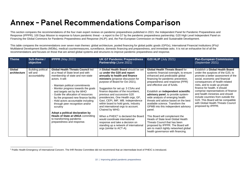### **Annex - Panel Recommendations Comparison**

This section compares the recommendations of the four main expert reviews on pandemic preparedness published in 2021: th[e Independent Panel for Pandemic Preparedness and](https://theindependentpanel.org/mainreport/#download-main-report)  [Response](https://theindependentpanel.org/mainreport/#download-main-report) (IPPPR); [100 Days Mission to response to future pandemic](https://www.gov.uk/government/publications/100-days-mission-to-respond-to-future-pandemic-threats) threat – a report to the G7 by the pandemic preparedness partnership; G20 High Level Independent Panel on [Financing the Global Commons for Pandemic Preparedness and Response](https://pandemic-financing.org/report/foreword/) (HLIP); and[, the Pan-European Commission on Health and Sustainable Development.](https://www.euro.who.int/en/health-topics/health-policy/european-programme-of-work/pan-european-commission-on-health-and-sustainable-development)

This table compares the recommendations over seven main themes: global architecture, pooled financing for global public goods (GPGs), International Financial Institutions (IFIs)/ Multilateral Development Banks (MDBs), medical countermeasures, surveillance, domestic financing and preparedness, and immediate asks. It is not an exhaustive list of all the recommendations and focuses on those that are aimed global systems and structures to improve pandemic preparedness and response.

<span id="page-10-0"></span>

| <b>Theme</b>           | Sub-theme /<br>objective                                | <b>IPPPR</b> (May 2021)                                                                                                                                                                                                                                                                                                                                                                                                                                                                                                                                 | <b>UK G7 Pandemic Preparedness</b><br>Partnership (June 2021)                                                                                                                                                                                                                                                                                                                                                                                                                                                                                                                                                                                                    | <b>G20 HLIP</b> (July 2021)                                                                                                                                                                                                                                                                                                                                                                                                                                                                                                                                                                                                                                                                            | <b>Pan-European Commission</b><br>(September 2021)                                                                                                                                                                                                                                                                                                                                                                                                                   |
|------------------------|---------------------------------------------------------|---------------------------------------------------------------------------------------------------------------------------------------------------------------------------------------------------------------------------------------------------------------------------------------------------------------------------------------------------------------------------------------------------------------------------------------------------------------------------------------------------------------------------------------------------------|------------------------------------------------------------------------------------------------------------------------------------------------------------------------------------------------------------------------------------------------------------------------------------------------------------------------------------------------------------------------------------------------------------------------------------------------------------------------------------------------------------------------------------------------------------------------------------------------------------------------------------------------------------------|--------------------------------------------------------------------------------------------------------------------------------------------------------------------------------------------------------------------------------------------------------------------------------------------------------------------------------------------------------------------------------------------------------------------------------------------------------------------------------------------------------------------------------------------------------------------------------------------------------------------------------------------------------------------------------------------------------|----------------------------------------------------------------------------------------------------------------------------------------------------------------------------------------------------------------------------------------------------------------------------------------------------------------------------------------------------------------------------------------------------------------------------------------------------------------------|
| Global<br>architecture | <b>Building political</b><br>will and<br>accountability | <b>Global Health Threats Council led</b><br>at a Head of State level and with<br>membership of state and non-state<br>actors. It will:<br>Maintain political commitments<br>Monitor progress towards the goals<br>and targets set by the WHO<br>Guide the allocation of resources<br>by the proposed new finance facility<br>Hold actors accountable including<br>through peer recognition and/or<br>scrutiny<br>Adopt a political declaration by<br><b>Heads of State at UNGA committing</b><br>to transforming pandemic<br>preparedness and response. | A Global Health Board should be set<br>up under the G20 and report<br>annually to health and finance<br>ministers (propose discussion for<br>purpose of Board for Oct 2021).<br>Suggestion for set up: 3 CSAs and<br>finance deputies of the incumbent,<br>previous and successive G20<br>presidencies, One Health orgs, GF,<br>Gavi, CEPI, IMF, WB. Independence<br>within board to hold govts, industry<br>and international orgs to account.<br>Chaired by WHO.<br>When a PHEIC <sup>5</sup> is declared the Board<br>would coordinate international<br>response and take a decision on<br>standing up a network of international<br>orgs (similar to ACT-A). | <b>Global Health Threats Board for</b><br>systemic financial oversight, to ensure<br>enhanced and predictable global<br>financing for pandemic prevention,<br>preparedness and response (PPR)<br>and effective use of funds.<br>Establish an independent scientific<br>advisory panel, to provide system-<br>wide analysis of emerging health<br>threats and advice based on the best<br>available science. Transform the<br>GPMB into this independent advisory<br>panel.<br>This Board will complement the<br>Heads of State level Global Health<br>Threats Council that has been<br>proposed by IPPPR. The Board will<br>aim to match tightly networked global<br>health governance with financing. | Establish a Global Health Board<br>under the auspices of the G20, to<br>promote a better assessment of the<br>social, economic and financial<br>consequences of health-related<br>risks, and to scale up private<br>finance for health. It should<br>comprise representatives of finance<br>and health ministries and should<br>include countries from outside the<br>G20. This Board will be compatible<br>with Global Health Threats Council<br>proposed by IPPPR. |

<sup>5</sup> Public Health Emergency of International Concern. The IHR Review Committee did not recommend that an intermediate level of PHEIC is introduced.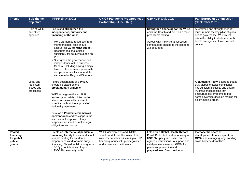| <b>Theme</b>                                         | Sub-theme /<br>objective                           | <b>IPPPR</b> (May 2021)                                                                                                                                                                                                                                                                                                                                                                                                                                                                     | <b>UK G7 Pandemic Preparedness</b><br>Partnership (June 2021)                                                                                                                   | <b>G20 HLIP (July 2021)</b>                                                                                                                                                                                                                        | <b>Pan-European Commission</b><br>(September 2021)                                                                                                                                                                                             |
|------------------------------------------------------|----------------------------------------------------|---------------------------------------------------------------------------------------------------------------------------------------------------------------------------------------------------------------------------------------------------------------------------------------------------------------------------------------------------------------------------------------------------------------------------------------------------------------------------------------------|---------------------------------------------------------------------------------------------------------------------------------------------------------------------------------|----------------------------------------------------------------------------------------------------------------------------------------------------------------------------------------------------------------------------------------------------|------------------------------------------------------------------------------------------------------------------------------------------------------------------------------------------------------------------------------------------------|
|                                                      | Role of WHO<br>and other<br>agencies               | Focus and strengthen the<br>independence, authority and<br>financing of the WHO.<br>More earmarked resources from<br>member states, fees should<br>account for 2/3 of WHO budget<br>Resource regional offices<br>sufficiently for country support on<br><b>PPR</b><br>Strengthen the governance and<br>independence of the Director-<br>General, including having a single<br>term of office of seven years with<br>no option for re-election, and the<br>same rule for Regional Directors. |                                                                                                                                                                                 | Strengthen financing for the WHO<br>and One Health and put it on a more<br>predictable footing.<br>Agrees with IPPPR that assessed<br>contributions should be increased to<br>2/3 of budget                                                        | A reformed and strengthened WHO<br>much remain the key pillar of global<br>health governance. WHO must<br>retain the ability to declare a public<br>health emergency of international<br>concern.                                              |
|                                                      | Legal and<br>regulatory<br>issues and<br>processes | Future declarations of a PHEIC<br>should be based on the<br>precautionary principle.<br>WHO to be given the explicit<br>authority to publish information<br>about outbreaks with pandemic<br>potential, without the approval of<br>national governments.<br>Develop a Pandemic Framework<br>convention to address gaps in the<br>international response, clarify<br>responsibilities and establish legal<br>obligations and norms.                                                          |                                                                                                                                                                                 |                                                                                                                                                                                                                                                    | A pandemic treaty is agreed that is<br>truly global, enables compliance,<br>has sufficient flexibility and entails<br>inventive mechanisms that<br>encourage governments to pool<br>some sovereign decision making for<br>policy making areas. |
| Pooled<br>financing<br>for global<br>public<br>goods |                                                    | Create an international pandemic<br>financing facility to raise additional<br>reliable funding for pandemic<br>preparedness and for rapid surge<br>financing. Should mobilize long term<br>(10-15yr) contributions of approx.<br>US\$5-10bn annually, with                                                                                                                                                                                                                                  | WHO, governments and INGOs<br>should work to set the 'rules of the<br>road' for pandemics including a DTV<br>financing facility with pre-negotiated<br>and advance commitments. | Establish a Global Health Threats<br>Fund. Dedicated fund amounting to<br>US\$10bn per year, based on pre-<br>agreed contributions, to support and<br>catalyse investments in GPGs for<br>pandemic prevention and<br>preparedness. Structured as a | Increase the share of<br>development finance spent on<br>GPGs and managing long standing<br>cross border externalities.                                                                                                                        |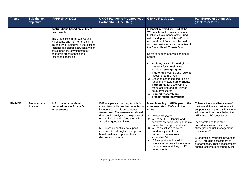| Theme           | Sub-theme /<br>objective  | <b>IPPPR</b> (May 2021)                                                                                                                                                                                                                                                                                          | <b>UK G7 Pandemic Preparedness</b><br>Partnership (June 2021)                                                                                                                                                                                                                                                                                                                                               | <b>G20 HLIP (July 2021)</b>                                                                                                                                                                                                                                                                                                                                                                                                                                                                                                                                                                                                                                                                                         | <b>Pan-European Commission</b><br>(September 2021)                                                                                                                                                                                                                                                                                                                                                                                                         |
|-----------------|---------------------------|------------------------------------------------------------------------------------------------------------------------------------------------------------------------------------------------------------------------------------------------------------------------------------------------------------------|-------------------------------------------------------------------------------------------------------------------------------------------------------------------------------------------------------------------------------------------------------------------------------------------------------------------------------------------------------------------------------------------------------------|---------------------------------------------------------------------------------------------------------------------------------------------------------------------------------------------------------------------------------------------------------------------------------------------------------------------------------------------------------------------------------------------------------------------------------------------------------------------------------------------------------------------------------------------------------------------------------------------------------------------------------------------------------------------------------------------------------------------|------------------------------------------------------------------------------------------------------------------------------------------------------------------------------------------------------------------------------------------------------------------------------------------------------------------------------------------------------------------------------------------------------------------------------------------------------------|
|                 |                           | contributions based on ability to<br>pay formula.<br>The Global Health Threats Council<br>will allocate and monitor funding from<br>this facility. Funding will go to existing<br>regional and global institutions, which<br>can support the development of<br>pandemic preparedness and<br>response capacities. |                                                                                                                                                                                                                                                                                                                                                                                                             | Financial Intermediary Fund at the<br>WB, which would provide treasury<br>functions. Governance of the Fund<br>will be independent of the WB, under<br>an Investment Board, which could be<br>also be constituted as a committee of<br>the Global Health Threats Board.<br>Serve to support a few major global<br>actions:<br><b>Building a transformed global</b><br>1.<br>network for surveillance<br>2. Providing stronger grant<br>financing to country and regional<br>investments in GPGs<br>3. Ensuring enhanced and reliable<br>funding to enable public private<br>partnership for development,<br>manufacturing and delivery of<br>countermeasures<br>4. Support research and<br>breakthrough innovations |                                                                                                                                                                                                                                                                                                                                                                                                                                                            |
| <b>IFIs/MDB</b> | Preparedness<br>financing | IMF to include pandemic<br>preparedness in Article IV<br>assessments.                                                                                                                                                                                                                                            | IMF to explore expanding Article IV<br>consultation with member countries to<br>include a pandemic preparedness<br>assessment. The assessment should<br>draw on the analysis and expertise of<br>others, including the Global Health<br>Security Agenda and WHO.<br>MDBs should continue to support<br>investment to strengthen and prepare<br>health systems as part of their core<br>day-to-day business. | Make financing of GPGs part of the<br><b>core mandates of WB and other</b><br>MDBs.<br>1. Revise mandates<br>2. WB to set IBRD lending and<br>performance targets for pandemic<br>prevention and preparedness<br>3. WB to establish dedicated<br>pandemic prevention and<br>preparedness window in<br>expanded IDA<br>4. IDA support should seek in<br>incentivise domestic investments<br>through grant matching to LIC<br>governments                                                                                                                                                                                                                                                                             | Enhance the surveillance role of<br>multilateral financial institutions to<br>support investing in health. Includes<br>adopting actions modelled on the<br>IMF's Article IV consultations.<br>Incorporate health related<br>considerations into business<br>strategies and risk management<br>frameworks.**<br>Strengthen surveillance powers of<br>WHO, including assessment of<br>preparedness. These assessments<br>should feed into monitoring by IMF, |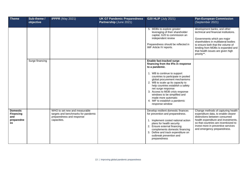| Theme                                                          | Sub-theme /<br>objective | <b>IPPPR</b> (May 2021)                                                                                          | <b>UK G7 Pandemic Preparedness</b><br>Partnership (June 2021) | <b>G20 HLIP (July 2021)</b>                                                                                                                                                                                                                                                                                                                                                                                                               | <b>Pan-European Commission</b><br>(September 2021)                                                                                                                                                                                                                        |
|----------------------------------------------------------------|--------------------------|------------------------------------------------------------------------------------------------------------------|---------------------------------------------------------------|-------------------------------------------------------------------------------------------------------------------------------------------------------------------------------------------------------------------------------------------------------------------------------------------------------------------------------------------------------------------------------------------------------------------------------------------|---------------------------------------------------------------------------------------------------------------------------------------------------------------------------------------------------------------------------------------------------------------------------|
|                                                                |                          |                                                                                                                  |                                                               | 5. MDBs to explore greater<br>leveraging of their shareholder<br>capital, G20 to commission an<br>independent review<br>Preparedness should be reflected in<br>IMF Article IV reports.                                                                                                                                                                                                                                                    | development banks, and other<br>technical and financial institutions.<br>Governments which are major<br>shareholders in multilateral bodies<br>to ensure both that the volume of<br>lending from MDBs is expanded and<br>that health issues are given high<br>priority**. |
|                                                                | Surge financing          |                                                                                                                  |                                                               | Enable fast-tracked surge<br>financing from the IFIs in response<br>to a pandemic.<br>1. WB to continue to support<br>countries to participate in pooled<br>global procurement mechanisms<br>2. WB to scale up its capacity to<br>help countries establish a safety<br>net surge response<br>3. Access to MDB crisis response<br>windows to be simplified and<br>made more automatic<br>4. IMF to establish a pandemic<br>response window |                                                                                                                                                                                                                                                                           |
| <b>Domestic</b><br><b>Financing</b><br>and<br>preparedne<br>SS |                          | WHO to set new and measurable<br>targets and benchmarks for pandemic<br>preparedness and response<br>capacities. |                                                               | Develop resilient domestic finances<br>for prevention and preparedness.<br>1. Implement costed national action<br>plans for health security<br>2. Ensure external financing<br>complements domestic financing<br>3. Define and track expenditure on<br>outbreak prevention and<br>preparedness                                                                                                                                            | Change methods of capturing health<br>expenditure data, to enable clearer<br>distinctions between consumed<br>health expenditure and investments,<br>so that countries are incentivized to<br>invest more in preventive services<br>and emergency preparedness.           |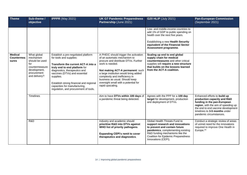| <b>Theme</b>                          | Sub-theme /<br>objective                                                                                            | <b>IPPPR</b> (May 2021)                                                                                                                                                                                                                                                                                                                   | <b>UK G7 Pandemic Preparedness</b><br>Partnership (June 2021)                                                                                                                                                                                                                                                                                 | <b>G20 HLIP (July 2021)</b>                                                                                                                                                                                                                     | <b>Pan-European Commission</b><br>(September 2021)                                                                                                                                                                                  |
|---------------------------------------|---------------------------------------------------------------------------------------------------------------------|-------------------------------------------------------------------------------------------------------------------------------------------------------------------------------------------------------------------------------------------------------------------------------------------------------------------------------------------|-----------------------------------------------------------------------------------------------------------------------------------------------------------------------------------------------------------------------------------------------------------------------------------------------------------------------------------------------|-------------------------------------------------------------------------------------------------------------------------------------------------------------------------------------------------------------------------------------------------|-------------------------------------------------------------------------------------------------------------------------------------------------------------------------------------------------------------------------------------|
|                                       |                                                                                                                     |                                                                                                                                                                                                                                                                                                                                           |                                                                                                                                                                                                                                                                                                                                               | Low- and middle-income countries to<br>add 1% of GDP to public spending on<br>health over the next five years.<br>Establishing a new Health Security<br>equivalent of the Financial Sector<br>Assessment programme.                             |                                                                                                                                                                                                                                     |
| <b>Medical</b><br>Countermea<br>sures | What global<br>mechanism<br>should be used<br>for<br>countermeasure<br>development,<br>procurement<br>and delivery? | Establish a pre-negotiated platform<br>for tools and supplies:<br>Transform the current ACT-A into a<br>truly end to end platform for<br>diagnostics, therapeutics and<br>vaccines (DTVs) and essential<br>supplies.<br>Establish strong financial and regional<br>capacities for manufacturing,<br>regulation, and procurement of tools. | A PHEIC should trigger the activation<br>of an automatic mechanism to<br>procure and distribute DTVs. Further<br>work is needed.<br>Not making ACT-A permanent: such<br>a large institution would bring added<br>complexity and inefficiency in<br>business as usual. Should keep<br>oversight small with a potential for<br>rapid upscaling. | Scaling up end to end global<br>supply chain for medical<br>countermeasures and other critical<br>supplies will require a new structure<br>that builds on the lessons learned<br>from the ACT-A coalition.                                      |                                                                                                                                                                                                                                     |
|                                       | <b>Timelines</b>                                                                                                    |                                                                                                                                                                                                                                                                                                                                           | Aim to have DTVs within 100 days of<br>a pandemic threat being detected.                                                                                                                                                                                                                                                                      | Agrees with the PPP for a 100 day<br>target for development, production<br>and deployment of DTVs.                                                                                                                                              | Enhanced efforts to build up<br>production capacity and R&D<br>funding in the pan-European<br>region, with the aim of speeding up<br>the end to end vaccine development<br>timelines to 3-5 months under<br>pandemic circumstances. |
|                                       | R&D                                                                                                                 |                                                                                                                                                                                                                                                                                                                                           | Industry and academic should<br>prioritise R&D into DTVs against<br>WHO list of priority pathogens.<br><b>Expanding CEPI's remit to cover</b><br>therapeutics and diagnostics.                                                                                                                                                                | Global Health Threats Fund to<br>support research and innovations<br>to prevent and contain future<br>pandemics, complementing existing<br>R&D funding mechanisms like the<br><b>Coalition for Epidemic Preparedness</b><br>Innovations (CEPI). | Conduct a strategic review of areas<br>of unmet need for the innovations<br>required to improve One Health in<br>Europe.**                                                                                                          |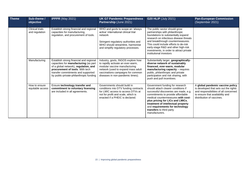| <b>Theme</b> | Sub-theme /<br>objective                 | <b>IPPPR</b> (May 2021)                                                                                                                                                                                                                       | <b>UK G7 Pandemic Preparedness</b><br>Partnership (June 2021)                                                                                                                                                           | <b>G20 HLIP (July 2021)</b>                                                                                                                                                                                                                                                                                                                          | <b>Pan-European Commission</b><br>(September 2021)                                                                                                                                 |
|--------------|------------------------------------------|-----------------------------------------------------------------------------------------------------------------------------------------------------------------------------------------------------------------------------------------------|-------------------------------------------------------------------------------------------------------------------------------------------------------------------------------------------------------------------------|------------------------------------------------------------------------------------------------------------------------------------------------------------------------------------------------------------------------------------------------------------------------------------------------------------------------------------------------------|------------------------------------------------------------------------------------------------------------------------------------------------------------------------------------|
|              | <b>Clinical trials</b><br>and regulation | Establish strong financial and regional<br>capacities for manufacturing,<br>regulation, and procurement of tools.                                                                                                                             | WHO and govts to scope an 'always<br>active' international clinical trial<br>network<br>Stringent regulatory authorities and<br>WHO should streamline, harmonise<br>and simplify regulatory processes.                  | The public sector should grow<br>partnerships with philanthropic<br>foundations to substantially expand<br>research on infectious disease threats<br>and breakthrough countermeasures.<br>This could include efforts to de-risk<br>early-stage R&D and other high-risk<br>investments, in order to attract private<br>institutional investors        |                                                                                                                                                                                    |
|              | Manufacturing                            | Establish strong financial and regional<br>capacities for manufacturing (as part<br>of a global network), regulation, and<br>procurement of tools. With tech<br>transfer commitments and supported<br>by public-private-philanthropic funding | Industry, govts, INGOS explore how<br>to rapidly activate an ever-warm,<br>modular vaccine manufacturing<br>network (used to expand mass adult<br>vaccinations campaigns for common<br>diseases in non-pandemic times). | Substantially larger, geographically-<br>diverse network of sustainably<br>financed, ever-warm, modular<br>manufacturing capacity - requires<br>public, philanthropic and private<br>participation and risk sharing, with<br>push and pull incentives.                                                                                               |                                                                                                                                                                                    |
|              | How to ensure<br>equitable access        | Ensure technology transfer and<br>commitment to voluntary licensing<br>are included in all agreements.                                                                                                                                        | Governments should build in<br>conditions into DTV funding contracts<br>for LMIC access to access DTVs at<br>not for profit and scale, which is<br>enacted if a PHEIC is declared.                                      | Government funding for research<br>should attach clearer conditions if<br>successful discoveries are made, e.g<br>commitments to provide affordable<br>medical countermeasures with cost-<br>plus pricing for LICs and LMICs,<br>treatment of intellectual property<br>and requirements for technology<br>transfers to third party<br>manufacturers. | A global pandemic vaccine policy<br>is developed that sets out the rights<br>and responsibilities of all concerned<br>to ensure that availability and<br>distribution of vaccines. |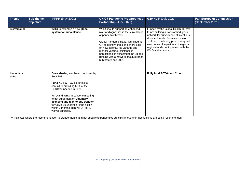| <b>Theme</b>        | Sub-theme /<br>objective | <b>IPPPR</b> (May 2021)                                                                                                                                                                                                                                                                                                                                         | <b>UK G7 Pandemic Preparedness</b><br>Partnership (June 2021)                                                                                                                                                                                                                                                                                                   | <b>G20 HLIP (July 2021)</b>                                                                                                                                                                                                                                                                               | <b>Pan-European Commission</b><br>(September 2021) |
|---------------------|--------------------------|-----------------------------------------------------------------------------------------------------------------------------------------------------------------------------------------------------------------------------------------------------------------------------------------------------------------------------------------------------------------|-----------------------------------------------------------------------------------------------------------------------------------------------------------------------------------------------------------------------------------------------------------------------------------------------------------------------------------------------------------------|-----------------------------------------------------------------------------------------------------------------------------------------------------------------------------------------------------------------------------------------------------------------------------------------------------------|----------------------------------------------------|
| <b>Surveillance</b> |                          | WHO to establish a new global<br>system for surveillance.                                                                                                                                                                                                                                                                                                       | WHO should support an enhanced<br>role for diagnostics in the surveillance<br>of pandemic threats.<br>Global Pandemic Radar launched at<br>G7, to identify, track and share data<br>on new coronavirus variants and<br>monitor vaccine resistance in<br>populations, is expected to be up and<br>running with a network of surveillance<br>hub before end 2021. | Funded by the Global Health Threats<br>Fund: building a transformed global<br>network for surveillance of infectious<br>disease threats. Requires a major<br>scale up, combining pre-existing and<br>new nodes of expertise at the global,<br>regional and country levels, with the<br>WHO at the centre. |                                                    |
| Immediate<br>asks   |                          | Dose sharing - at least 1bn doses by<br>Sept 2021.<br><b>Fund ACT-A</b> $-$ G7 countries to<br>commit to providing 60% of the<br>US\$19bn needed in 2021.<br>WTO and WHO to convene meeting<br>to get agreement on voluntary<br>licensing and technology transfer<br>for Covid-19 vaccines - if no action<br>within 3 months then WTO TRIPS<br>waiver enforced. |                                                                                                                                                                                                                                                                                                                                                                 | <b>Fully fund ACT-A and Covax</b>                                                                                                                                                                                                                                                                         |                                                    |

\*\* Indicates where the recommendation is broader health and not specific to pandemics but similar levers or mechanisms are being recommended.